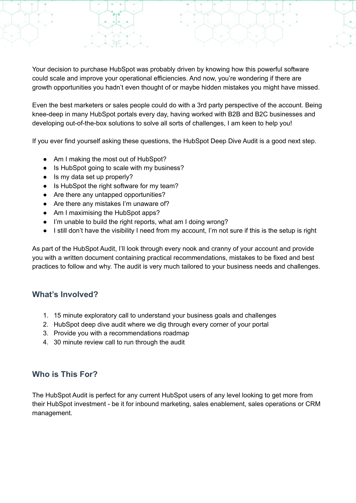Your decision to purchase HubSpot was probably driven by knowing how this powerful software could scale and improve your operational efficiencies. And now, you're wondering if there are growth opportunities you hadn't even thought of or maybe hidden mistakes you might have missed.

Even the best marketers or sales people could do with a 3rd party perspective of the account. Being knee-deep in many HubSpot portals every day, having worked with B2B and B2C businesses and developing out-of-the-box solutions to solve all sorts of challenges, I am keen to help you!

If you ever find yourself asking these questions, the HubSpot Deep Dive Audit is a good next step.

- Am I making the most out of HubSpot?
- Is HubSpot going to scale with my business?
- Is my data set up properly?
- Is HubSpot the right software for my team?
- Are there any untapped opportunities?
- Are there any mistakes I'm unaware of?
- Am I maximising the HubSpot apps?
- I'm unable to build the right reports, what am I doing wrong?
- I still don't have the visibility I need from my account, I'm not sure if this is the setup is right

As part of the HubSpot Audit, I'll look through every nook and cranny of your account and provide you with a written document containing practical recommendations, mistakes to be fixed and best practices to follow and why. The audit is very much tailored to your business needs and challenges.

#### **What's Involved?**

- 1. 15 minute exploratory call to understand your business goals and challenges
- 2. HubSpot deep dive audit where we dig through every corner of your portal
- 3. Provide you with a recommendations roadmap
- 4. 30 minute review call to run through the audit

## **Who is This For?**

The HubSpot Audit is perfect for any current HubSpot users of any level looking to get more from their HubSpot investment - be it for inbound marketing, sales enablement, sales operations or CRM management.